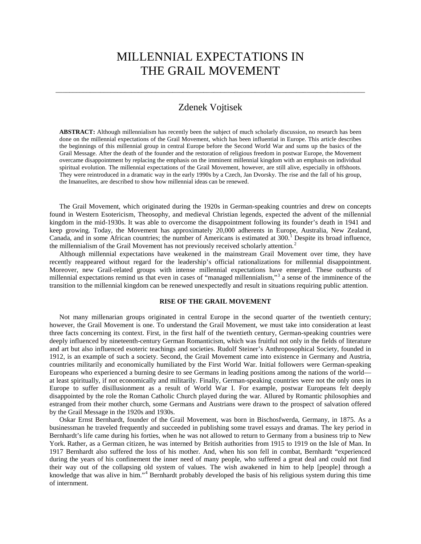# MILLENNIAL EXPECTATIONS IN THE GRAIL MOVEMENT

## Zdenek Vojtisek

\_\_\_\_\_\_\_\_\_\_\_\_\_\_\_\_\_\_\_\_\_\_\_\_\_\_\_\_\_\_\_\_\_\_\_\_\_\_\_\_\_\_\_\_\_\_\_\_\_\_\_\_\_\_\_\_\_\_\_\_\_\_\_\_\_\_\_\_\_\_\_\_\_\_\_\_\_\_\_\_\_\_\_\_\_\_\_\_\_\_

ABSTRACT: Although millennialism has recently been the subject of much scholarly discussion, no research has been done on the millennial expectations of the Grail Movement, which has been influential in Europe. This article describes the beginnings of this millennial group in central Europe before the Second World War and sums up the basics of the Grail Message. After the death of the founder and the restoration of religious freedom in postwar Europe, the Movement overcame disappointment by replacing the emphasis on the imminent millennial kingdom with an emphasis on individual spiritual evolution. The millennial expectations of the Grail Movement, however, are still alive, especially in offshoots. They were reintroduced in a dramatic way in the early 1990s by a Czech, Jan Dvorsky. The rise and the fall of his group, the Imanuelites, are described to show how millennial ideas can be renewed.

The Grail Movement, which originated during the 1920s in German-speaking countries and drew on concepts found in Western Esotericism, Theosophy, and medieval Christian legends, expected the advent of the millennial kingdom in the mid-1930s. It was able to overcome the disappointment following its founder's death in 1941 and keep growing. Today, the Movement has approximately 20,000 adherents in Europe, Australia, New Zealand, Canada, and in some African countries; the number of Americans is estimated at 300.<sup>[1](#page-7-0)</sup> Despite its broad influence, the millennialism of the Grail Movement has not previously received scholarly attention.<sup>[2](#page-7-1)</sup>

Although millennial expectations have weakened in the mainstream Grail Movement over time, they have recently reappeared without regard for the leadership's official rationalizations for millennial disappointment. Moreover, new Grail-related groups with intense millennial expectations have emerged. These outbursts of millennial expectations remind us that even in cases of "managed millennialism,"[3](#page-7-2) a sense of the imminence of the transition to the millennial kingdom can be renewed unexpectedly and result in situations requiring public attention.

#### **RISE OF THE GRAIL MOVEMENT**

Not many millenarian groups originated in central Europe in the second quarter of the twentieth century; however, the Grail Movement is one. To understand the Grail Movement, we must take into consideration at least three facts concerning its context. First, in the first half of the twentieth century, German-speaking countries were deeply influenced by nineteenth-century German Romanticism, which was fruitful not only in the fields of literature and art but also influenced esoteric teachings and societies. Rudolf Steiner's Anthroposophical Society, founded in 1912, is an example of such a society. Second, the Grail Movement came into existence in Germany and Austria, countries militarily and economically humiliated by the First World War. Initial followers were German-speaking Europeans who experienced a burning desire to see Germans in leading positions among the nations of the world at least spiritually, if not economically and militarily. Finally, German-speaking countries were not the only ones in Europe to suffer disillusionment as a result of World War I. For example, postwar Europeans felt deeply disappointed by the role the Roman Catholic Church played during the war. Allured by Romantic philosophies and estranged from their mother church, some Germans and Austrians were drawn to the prospect of salvation offered by the Grail Message in the 1920s and 1930s.

Oskar Ernst Bernhardt, founder of the Grail Movement, was born in Bischosfwerda, Germany, in 1875. As a businessman he traveled frequently and succeeded in publishing some travel essays and dramas. The key period in Bernhardt's life came during his forties, when he was not allowed to return to Germany from a business trip to New York. Rather, as a German citizen, he was interned by British authorities from 1915 to 1919 on the Isle of Man. In 1917 Bernhardt also suffered the loss of his mother. And, when his son fell in combat, Bernhardt "experienced during the years of his confinement the inner need of many people, who suffered a great deal and could not find their way out of the collapsing old system of values. The wish awakened in him to help [people] through a knowledge that was alive in him."[4](#page-7-3) Bernhardt probably developed the basis of his religious system during this time of internment.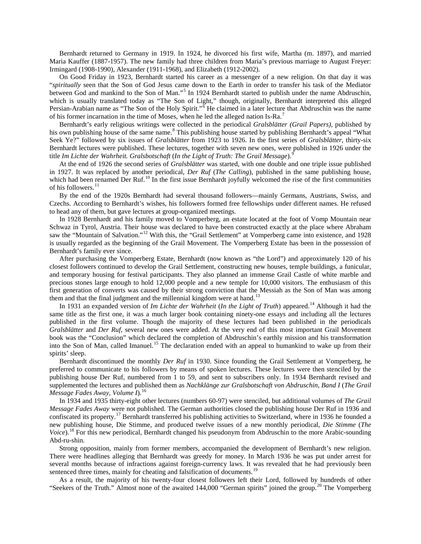Bernhardt returned to Germany in 1919. In 1924, he divorced his first wife, Martha (m. 1897), and married Maria Kauffer (1887-1957). The new family had three children from Maria's previous marriage to August Freyer: Irmingard (1908-1990), Alexander (1911-1968), and Elizabeth (1912-2002).

On Good Friday in 1923, Bernhardt started his career as a messenger of a new religion. On that day it was "*spiritually* seen that the Son of God Jesus came down to the Earth in order to transfer his task of the Mediator between God and mankind to the Son of Man."[5](#page-7-4) In 1924 Bernhardt started to publish under the name Abdruschin, which is usually translated today as "The Son of Light," though, originally, Bernhardt interpreted this alleged Persian-Arabian name as "The Son of the Holy Spirit."<sup>[6](#page-7-5)</sup> He claimed in a later lecture that Abdruschin was the name of his former incarnation in the time of Moses, when he led the alleged nation Is-Ra.<sup>[7](#page-7-6)</sup>

Bernhardt's early religious writings were collected in the periodical *Gralsblätter (Grail Papers)*, published by his own publishing house of the same name.<sup>[8](#page-7-7)</sup> This publishing house started by publishing Bernhardt's appeal "What Seek Ye?" followed by six issues of *Gralsblätter* from 1923 to 1926. In the first series of *Gralsblätter,* thirty-six Bernhardt lectures were published. These lectures, together with seven new ones, were published in 1926 under the title *Im Lichte der Wahrheit. Gralsbotschaft* (*In the Light of Truth: The Grail Message*). [9](#page-7-8)

At the end of 1926 the second series of *Gralsblätter* was started, with one double and one triple issue published in 1927. It was replaced by another periodical, *Der Ruf* (*The Calling*), published in the same publishing house, which had been renamed Der Ruf.<sup>[10](#page-7-9)</sup> In the first issue Bernhardt joyfully welcomed the rise of the first communities of his followers.<sup>[11](#page-7-10)</sup>

By the end of the 1920s Bernhardt had several thousand followers—mainly Germans, Austrians, Swiss, and Czechs. According to Bernhardt's wishes, his followers formed free fellowships under different names. He refused to head any of them, but gave lectures at group-organized meetings.

In 1928 Bernhardt and his family moved to Vomperberg, an estate located at the foot of Vomp Mountain near Schwaz in Tyrol, Austria. Their house was declared to have been constructed exactly at the place where Abraham saw the "Mountain of Salvation."<sup>[12](#page-7-11)</sup> With this, the "Grail Settlement" at Vomperberg came into existence, and 1928 is usually regarded as the beginning of the Grail Movement. The Vomperberg Estate has been in the possession of Bernhardt's family ever since.

After purchasing the Vomperberg Estate, Bernhardt (now known as "the Lord") and approximately 120 of his closest followers continued to develop the Grail Settlement, constructing new houses, temple buildings, a funicular, and temporary housing for festival participants. They also planned an immense Grail Castle of white marble and precious stones large enough to hold 12,000 people and a new temple for 10,000 visitors. The enthusiasm of this first generation of converts was caused by their strong conviction that the Messiah as the Son of Man was among them and that the final judgment and the millennial kingdom were at hand.<sup>[13](#page-7-12)</sup>

In 1931 an expanded version of *Im Lichte der Wahrheit* (*In the Light of Truth*) appeared.[14](#page-8-0) Although it had the same title as the first one, it was a much larger book containing ninety-one essays and including all the lectures published in the first volume. Though the majority of these lectures had been published in the periodicals *Gralsblätter* and *Der Ruf*, several new ones were added. At the very end of this most important Grail Movement book was the "Conclusion" which declared the completion of Abdruschin's earthly mission and his transformation into the Son of Man, called Imanuel.<sup>[15](#page-8-1)</sup> The declaration ended with an appeal to humankind to wake up from their spirits' sleep.

Bernhardt discontinued the monthly *Der Ruf* in 1930. Since founding the Grail Settlement at Vomperberg, he preferred to communicate to his followers by means of spoken lectures. These lectures were then stenciled by the publishing house Der Ruf, numbered from 1 to 59, and sent to subscribers only. In 1934 Bernhardt revised and supplemented the lectures and published them as *Nachklänge zur Gralsbotschaft von Abdruschin, Band I* (*The Grail Message Fades Away, Volume I*)*.* [16](#page-8-2)

In 1934 and 1935 thirty-eight other lectures (numbers 60-97) were stenciled, but additional volumes of *The Grail Message Fades Away* were not published. The German authorities closed the publishing house Der Ruf in 1936 and confiscated its property.<sup>[17](#page-8-3)</sup> Bernhardt transferred his publishing activities to Switzerland, where in 1936 he founded a new publishing house, Die Stimme, and produced twelve issues of a new monthly periodical, *Die Stimme* (*The Voice*). [18](#page-8-4) For this new periodical, Bernhardt changed his pseudonym from Abdruschin to the more Arabic-sounding Abd-ru-shin.

Strong opposition, mainly from former members, accompanied the development of Bernhardt's new religion. There were headlines alleging that Bernhardt was greedy for money. In March 1936 he was put under arrest for several months because of infractions against foreign-currency laws. It was revealed that he had previously been sentenced three times, mainly for cheating and falsification of documents.<sup>[19](#page-8-5)</sup>

As a result, the majority of his twenty-four closest followers left their Lord, followed by hundreds of other "Seekers of the Truth." Almost none of the awaited 144,000 "German spirits" joined the group.<sup>[20](#page-8-6)</sup> The Vomperberg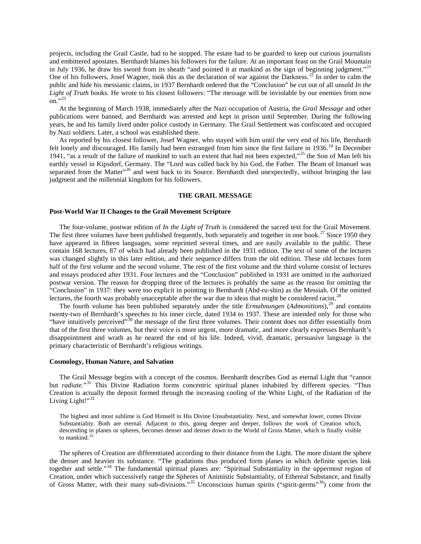projects, including the Grail Castle, had to be stopped. The estate had to be guarded to keep out curious journalists and embittered apostates. Bernhardt blames his followers for the failure. At an important feast on the Grail Mountain in July 1936, he draw his sword from its sheath "and pointed it at mankind as the sign of beginning judgment."<sup>[21](#page-8-7)</sup> One of his followers, Josef Wagner, took this as the declaration of war against the Darkness.<sup>[22](#page-8-8)</sup> In order to calm the public and hide his messianic claims, in 1937 Bernhardt ordered that the "Conclusion" be cut out of all unsold *In the Light of Truth* books. He wrote to his closest followers: "The message will be inviolable by our enemies from now on."[23](#page-8-9)

At the beginning of March 1938, immediately after the Nazi occupation of Austria, the *Grail Message* and other publications were banned, and Bernhardt was arrested and kept in prison until September. During the following years, he and his family lived under police custody in Germany. The Grail Settlement was confiscated and occupied by Nazi soldiers. Later, a school was established there.

As reported by his closest follower, Josef Wagner, who stayed with him until the very end of his life, Bernhardt felt lonely and discouraged. His family had been estranged from him since the first failure in  $1936<sup>24</sup>$  $1936<sup>24</sup>$  $1936<sup>24</sup>$  In December 1941, "as a result of the failure of mankind to such an extent that had not been expected,"[25](#page-8-11) the Son of Man left his earthly vessel in Kipsdorf, Germany. The "Lord was called back by his God, the Father. The Beam of Imanuel was separated from the Matter"<sup>[26](#page-8-12)</sup> and went back to its Source. Bernhardt died unexpectedly, without bringing the last judgment and the millennial kingdom for his followers.

#### **THE GRAIL MESSAGE**

#### **Post-World War II Changes to the Grail Movement Scripture**

The four-volume, postwar edition of *In the Light of Truth* is considered the sacred text for the Grail Movement. The first three volumes have been published frequently, both separately and together in one book.<sup>[27](#page-8-13)</sup> Since 1950 they have appeared in fifteen languages, some reprinted several times, and are easily available to the public. These contain 168 lectures, 87 of which had already been published in the 1931 edition. The text of some of the lectures was changed slightly in this later edition, and their sequence differs from the old edition. These old lectures form half of the first volume and the second volume. The rest of the first volume and the third volume consist of lectures and essays produced after 1931. Four lectures and the "Conclusion" published in 1931 are omitted in the authorized postwar version. The reason for dropping three of the lectures is probably the same as the reason for omitting the "Conclusion" in 1937: they were too explicit in pointing to Bernhardt (Abd-ru-shin) as the Messiah. Of the omitted lectures, the fourth was probably unacceptable after the war due to ideas that might be considered racist.<sup>[28](#page-8-14)</sup>

The fourth volume has been published separately under the title *Ermahnungen* (*Admonitions*), [29](#page-8-15) and contains twenty-two of Bernhardt's speeches to his inner circle, dated 1934 to 1937. These are intended only for those who "have intuitively perceived"<sup>[30](#page-8-16)</sup> the message of the first three volumes. Their content does not differ essentially from that of the first three volumes, but their voice is more urgent, more dramatic, and more clearly expresses Bernhardt's disappointment and wrath as he neared the end of his life. Indeed, vivid, dramatic, persuasive language is the primary characteristic of Bernhardt's religious writings.

#### **Cosmology, Human Nature, and Salvation**

The Grail Message begins with a concept of the cosmos. Bernhardt describes God as eternal Light that "cannot but *radiate.*"<sup>[31](#page-8-17)</sup> This Divine Radiation forms concentric spiritual planes inhabited by different species. "Thus Creation is actually the deposit formed through the increasing cooling of the White Light, of the Radiation of the Living Light!"[32](#page-8-18)

The highest and most sublime is God Himself in His Divine Unsubstantiality. Next, and somewhat lower, comes Divine Substantiality. Both are eternal. Adjacent to this, going deeper and deeper, follows the work of Creation which, descending in planes or spheres, becomes denser and denser down to the World of Gross Matter, which is finally visible to mankind.<sup>[33](#page-8-19)</sup>

The spheres of Creation are differentiated according to their distance from the Light. The more distant the sphere the denser and heavier its substance. "The gradations thus produced form planes in which definite species link together and settle."<sup>[34](#page-8-20)</sup> The fundamental spiritual planes are: "Spiritual Substantiality in the uppermost region of Creation, under which successively range the Spheres of Animistic Substantiality, of Ethereal Substance, and finally of Gross Matter, with their many sub-divisions."[35](#page-8-21) Unconscious human spirits ("spirit-germs"[36\)](#page-8-22) come from the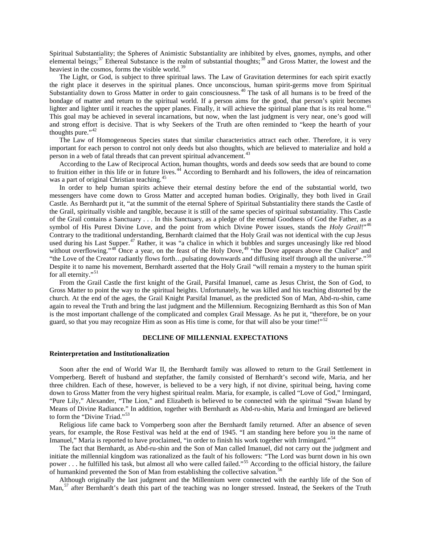Spiritual Substantiality; the Spheres of Animistic Substantiality are inhibited by elves, gnomes, nymphs, and other elemental beings;<sup>[37](#page-8-23)</sup> Ethereal Substance is the realm of substantial thoughts;<sup>[38](#page-8-24)</sup> and Gross Matter, the lowest and the heaviest in the cosmos, forms the visible world.<sup>[39](#page-8-25)</sup>

The Light, or God, is subject to three spiritual laws. The Law of Gravitation determines for each spirit exactly the right place it deserves in the spiritual planes. Once unconscious, human spirit-germs move from Spiritual Substantiality down to Gross Matter in order to gain consciousness.[40](#page-8-26) The task of all humans is to be freed of the bondage of matter and return to the spiritual world. If a person aims for the good, that person's spirit becomes lighter and lighter until it reaches the upper planes. Finally, it will achieve the spiritual plane that is its real home.<sup>[41](#page-8-27)</sup> This goal may be achieved in several incarnations, but now, when the last judgment is very near, one's good will and strong effort is decisive. That is why Seekers of the Truth are often reminded to "keep the hearth of your thoughts pure." $42$ 

The Law of Homogeneous Species states that similar characteristics attract each other. Therefore, it is very important for each person to control not only deeds but also thoughts, which are believed to materialize and hold a person in a web of fatal threads that can prevent spiritual advancement.<sup>[43](#page-9-0)</sup>

According to the Law of Reciprocal Action, human thoughts, words and deeds sow seeds that are bound to come to fruition either in this life or in future lives.<sup>[44](#page-9-1)</sup> According to Bernhardt and his followers, the idea of reincarnation was a part of original Christian teaching.<sup>[45](#page-9-2)</sup>

In order to help human spirits achieve their eternal destiny before the end of the substantial world, two messengers have come down to Gross Matter and accepted human bodies. Originally, they both lived in Grail Castle. As Bernhardt put it, "at the summit of the eternal Sphere of Spiritual Substantiality there stands the Castle of the Grail, spiritually visible and tangible, because it is still of the same species of spiritual substantiality. This Castle of the Grail contains a Sanctuary . . . In this Sanctuary, as a pledge of the eternal Goodness of God the Father, as a symbol of His Purest Divine Love, and the point from which Divine Power issues, stands the *Holy Grail*!"<sup>[46](#page-9-3)</sup> Contrary to the traditional understanding, Bernhardt claimed that the Holy Grail was not identical with the cup Jesus used during his Last Supper.<sup>[47](#page-9-4)</sup> Rather, it was "a chalice in which it bubbles and surges unceasingly like red blood without overflowing."<sup>[48](#page-9-5)</sup> Once a year, on the feast of the Holy Dove,<sup>[49](#page-9-6)</sup> "the Dove appears above the Chalice" and "the Love of the Creator radiantly flows forth…pulsating downwards and diffusing itself through all the universe."[50](#page-9-7) Despite it to name his movement, Bernhardt asserted that the Holy Grail "will remain a mystery to the human spirit for all eternity."<sup>[51](#page-9-8)</sup>

From the Grail Castle the first knight of the Grail, Parsifal Imanuel, came as Jesus Christ, the Son of God, to Gross Matter to point the way to the spiritual heights. Unfortunately, he was killed and his teaching distorted by the church. At the end of the ages, the Grail Knight Parsifal Imanuel, as the predicted Son of Man, Abd-ru-shin, came again to reveal the Truth and bring the last judgment and the Millennium. Recognizing Bernhardt as this Son of Man is the most important challenge of the complicated and complex Grail Message. As he put it, "therefore, be on your guard, so that you may recognize Him as soon as His time is come, for that will also be your time!"<sup>[52](#page-9-9)</sup>

#### **DECLINE OF MILLENNIAL EXPECTATIONS**

#### **Reinterpretation and Institutionalization**

Soon after the end of World War II, the Bernhardt family was allowed to return to the Grail Settlement in Vomperberg. Bereft of husband and stepfather, the family consisted of Bernhardt's second wife, Maria, and her three children. Each of these, however, is believed to be a very high, if not divine, spiritual being, having come down to Gross Matter from the very highest spiritual realm. Maria, for example, is called "Love of God," Irmingard, "Pure Lily," Alexander, "The Lion," and Elizabeth is believed to be connected with the spiritual "Swan Island by Means of Divine Radiance." In addition, together with Bernhardt as Abd-ru-shin, Maria and Irmingard are believed to form the "Divine Triad."<sup>[53](#page-9-10)</sup>

Religious life came back to Vomperberg soon after the Bernhardt family returned. After an absence of seven years, for example, the Rose Festival was held at the end of 1945. "I am standing here before you in the name of Imanuel," Maria is reported to have proclaimed, "in order to finish his work together with Irmingard."<sup>[54](#page-9-11)</sup>

The fact that Bernhardt, as Abd-ru-shin and the Son of Man called Imanuel, did not carry out the judgment and initiate the millennial kingdom was rationalized as the fault of his followers: "The Lord was burnt down in his own power . . . he fulfilled his task, but almost all who were called failed."<sup>[55](#page-9-12)</sup> According to the official history, the failure of humankind prevented the Son of Man from establishing the collective salvation.<sup>[56](#page-9-13)</sup>

Although originally the last judgment and the Millennium were connected with the earthly life of the Son of Man,<sup>[57](#page-9-14)</sup> after Bernhardt's death this part of the teaching was no longer stressed. Instead, the Seekers of the Truth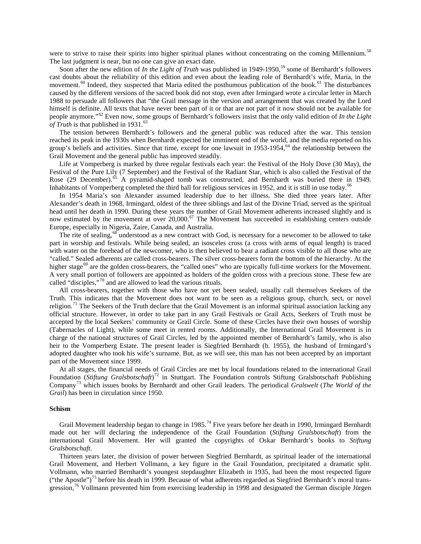were to strive to raise their spirits into higher spiritual planes without concentrating on the coming Millennium.<sup>[58](#page-9-15)</sup> The last judgment is near, but no one can give an exact date.

Soon after the new edition of *In the Light of Truth* was published in 1949-1950,<sup>[59](#page-9-16)</sup> some of Bernhardt's followers cast doubts about the reliability of this edition and even about the leading role of Bernhardt's wife, Maria, in the movement.<sup>[60](#page-9-17)</sup> Indeed, they suspected that Maria edited the posthumous publication of the book.<sup>[61](#page-9-18)</sup> The disturbances caused by the different versions of the sacred book did not stop, even after Irmingard wrote a circular letter in March 1988 to persuade all followers that "the Grail message in the version and arrangement that was created by the Lord himself is definite. All texts that have never been part of it or that are not part of it now should not be available for people anymore."[62](#page-9-19) Even now, some groups of Bernhardt's followers insist that the only valid edition of *In the Light of Truth* is that published in 1931. [63](#page-9-20)

The tension between Bernhardt's followers and the general public was reduced after the war. This tension reached its peak in the 1930s when Bernhardt expected the imminent end of the world, and the media reported on his group's beliefs and activities. Since that time, except for one lawsuit in 1953-1954,<sup>[64](#page-9-21)</sup> the relationship between the Grail Movement and the general public has improved steadily.

Life at Vomperberg is marked by three regular festivals each year: the Festival of the Holy Dove (30 May), the Festival of the Pure Lily (7 September) and the Festival of the Radiant Star, which is also called the Festival of the Rose (29 December).<sup>[65](#page-9-22)</sup> A pyramid-shaped tomb was constructed, and Bernhardt was buried there in 1949. Inhabitants of Vomperberg completed the third hall for religious services in 1952, and it is still in use today.<sup>[66](#page-10-0)</sup>

In 1954 Maria's son Alexander assumed leadership due to her illness. She died three years later. After Alexander's death in 1968, Irmingard, oldest of the three siblings and last of the Divine Triad, served as the spiritual head until her death in 1990. During these years the number of Grail Movement adherents increased slightly and is now estimated by the movement at over 20,000.<sup>[67](#page-10-1)</sup> The Movement has succeeded in establishing centers outside Europe, especially in [Nig](#page-10-2)eria, Zaire, Canada, and Australia.<br>The rite of sealing,<sup>[68](#page-10-2)</sup> understood as a new contract with God, is necessary for a newcomer to be allowed to take

part in worship and festivals. While being sealed, an isosceles cross (a cross with arms of equal length) is traced with water on the forehead of the newcomer, who is then believed to bear a radiant cross visible to all those who are "called." Sealed adherents are called cross-bearers. The silver cross-bearers form the bottom of the hierarchy. At the higher stage $^{69}$  $^{69}$  $^{69}$  are the golden cross-bearers, the "called ones" who are typically full-time workers for the Movement. A very small portion of followers are appointed as holders of the golden cross with a precious stone. These few are called "disciples,"<sup>[70](#page-10-4)</sup> and are allowed to lead the various rituals.

All cross-bearers, together with those who have not yet been sealed, usually call themselves Seekers of the Truth. This indicates that the Movement does not want to be seen as a religious group, church, sect, or novel religion.<sup>[71](#page-10-5)</sup> The Seekers of the Truth declare that the Grail Movement is an informal spiritual association lacking any official structure. However, in order to take part in any Grail Festivals or Grail Acts, Seekers of Truth must be accepted by the local Seekers' community or Grail Circle. Some of these Circles have their own houses of worship (Tabernacles of Light), while some meet in rented rooms. Additionally, the International Grail Movement is in charge of the national structures of Grail Circles, led by the appointed member of Bernhardt's family, who is also heir to the Vomperberg Estate. The present leader is Siegfried Bernhardt (b. 1955), the husband of Irmingard's adopted daughter who took his wife's surname. But, as we will see, this man has not been accepted by an important part of the Movement since 1999.

At all stages, the financial needs of Grail Circles are met by local foundations related to the international Grail Foundation (*Stiftung Gralsbotschaft*) [72](#page-10-6) in Stuttgart. The Foundation controls Stiftung Gralsbotschaft Publishing Company[73](#page-10-7) which issues books by Bernhardt and other Grail leaders. The periodical *Gralswelt* (*The World of the Grail*) has been in circulation since 1950.

#### **Schism**

Grail Movement leadership began to change in 1985.<sup>[74](#page-10-8)</sup> Five years before her death in 1990, Irmingard Bernhardt made out her will declaring the independence of the Grail Foundation (*Stiftung Gralsbotschaft*) from the international Grail Movement. Her will granted the copyrights of Oskar Bernhardt's books to *Stiftung Gralsbotschaft*.

Thirteen years later, the division of power between Siegfried Bernhardt, as spiritual leader of the international Grail Movement, and Herbert Vollmann, a key figure in the Grail Foundation, precipitated a dramatic split. Vollmann, who married Bernhardt's youngest stepdaughter Elizabeth in 1935, had been the most respected figure ("the Apostle")<sup>[75](#page-10-9)</sup> before his death in 1999. Because of what adherents regarded as Siegfried Bernhardt's moral trans-gression,<sup>[76](#page-10-10)</sup> Vollmann prevented him from exercising leadership in 1998 and designated the German disciple Jürgen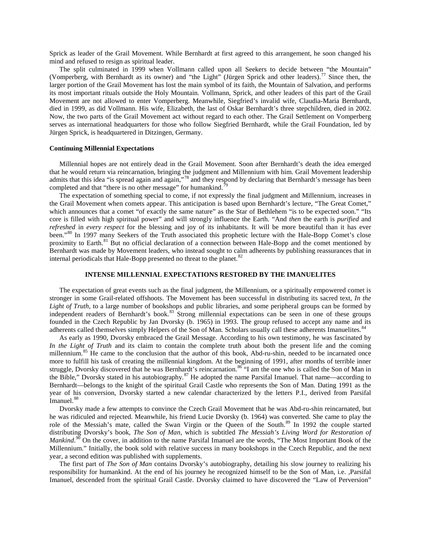Sprick as leader of the Grail Movement. While Bernhardt at first agreed to this arrangement, he soon changed his mind and refused to resign as spiritual leader.

The split culminated in 1999 when Vollmann called upon all Seekers to decide between "the Mountain" (Vomperberg, with Bernhardt as its owner) and "the Light" (Jürgen Sprick and other leaders).[77](#page-10-11) Since then, the larger portion of the Grail Movement has lost the main symbol of its faith, the Mountain of Salvation, and performs its most important rituals outside the Holy Mountain. Vollmann, Sprick, and other leaders of this part of the Grail Movement are not allowed to enter Vomperberg. Meanwhile, Siegfried's invalid wife, Claudia-Maria Bernhardt, died in 1999, as did Vollmann. His wife, Elizabeth, the last of Oskar Bernhardt's three stepchildren, died in 2002. Now, the two parts of the Grail Movement act without regard to each other. The Grail Settlement on Vomperberg serves as international headquarters for those who follow Siegfried Bernhardt, while the Grail Foundation, led by Jürgen Sprick, is headquartered in Ditzingen, Germany.

#### **Continuing Millennial Expectations**

Millennial hopes are not entirely dead in the Grail Movement. Soon after Bernhardt's death the idea emerged that he would return via reincarnation, bringing the judgment and Millennium with him. Grail Movement leadership admits that this idea "is spread again and again,"<sup>[78](#page-10-12)</sup> and they respond by declaring that Bernhardt's message has been completed and that "there is no other message" for humankind.<sup>[79](#page-10-13)</sup>

The expectation of something special to come, if not expressly the final judgment and Millennium, increases in the Grail Movement when comets appear. This anticipation is based upon Bernhardt's lecture, "The Great Comet," which announces that a comet "of exactly the same nature" as the Star of Bethlehem "is to be expected soon." "Its core is filled with high spiritual power" and will strongly influence the Earth. "And *then* the earth is *purified* and *refreshed* in *every respect* for the blessing and joy of its inhabitants. It will be more beautiful than it has ever been."[80](#page-10-14) In 1997 many Seekers of the Truth associated this prophetic lecture with the Hale-Bopp Comet's close proximity to Earth.<sup>[81](#page-10-15)</sup> But no official declaration of a connection between Hale-Bopp and the comet mentioned by Bernhardt was made by Movement leaders, who instead sought to calm adherents by publishing reassurances that in internal periodicals that Hale-Bopp presented no threat to the planet.<sup>[82](#page-10-16)</sup>

#### **INTENSE MILLENNIAL EXPECTATIONS RESTORED BY THE IMANUELITES**

The expectation of great events such as the final judgment, the Millennium, or a spiritually empowered comet is stronger in some Grail-related offshoots. The Movement has been successful in distributing its sacred text, *In the Light of Truth*, to a large number of bookshops and public libraries, and some peripheral groups can be formed by independent readers of Bernhardt's book.<sup>[83](#page-10-17)</sup> Strong millennial expectations can be seen in one of these groups founded in the Czech Republic by Jan Dvorsky (b. 1965) in 1993. The group refused to accept any name and its adherents called themselves simply Helpers of the Son of Man. Scholars usually call these adherents Imanuelites. [84](#page-10-18)

As early as 1990, Dvorsky embraced the Grail Message. According to his own testimony, he was fascinated by *In the Light of Truth* and its claim to contain the complete truth about both the present life and the coming millennium.<sup>[85](#page-10-19)</sup> He came to the conclusion that the author of this book, Abd-ru-shin, needed to be incarnated once more to fulfill his task of creating the millennial kingdom. At the beginning of 1991, after months of terrible inner struggle, Dvorsky discovered that he was Bernhardt's reincarnation.<sup>[86](#page-10-20)</sup> "I am the one who is called the Son of Man in the Bible," Dvorsky stated in his autobiography.[87](#page-10-21) He adopted the name Parsifal Imanuel. That name—according to Bernhardt—belongs to the knight of the spiritual Grail Castle who represents the Son of Man. Dating 1991 as the year of his conversion, Dvorsky started a new calendar characterized by the letters P.I., derived from Parsifal Imanuel.<sup>[88](#page-10-22)</sup>

Dvorsky made a few attempts to convince the Czech Grail Movement that he was Abd-ru-shin reincarnated, but he was ridiculed and rejected. Meanwhile, his friend Lucie Dvorsky (b. 1964) was converted. She came to play the role of the Messiah's mate, called the Swan Virgin or the Queen of the South.<sup>[89](#page-10-23)</sup> In 1992 the couple started distributing Dvorsky's book, *The Son of Man*, which is subtitled *The Messiah's Living Word for Restoration of Mankind*.<sup>[90](#page-10-24)</sup> On the cover, in addition to the name Parsifal Imanuel are the words, "The Most Important Book of the Millennium." Initially, the book sold with relative success in many bookshops in the Czech Republic, and the next year, a second edition was published with supplements.

The first part of *The Son of Man* contains Dvorsky's autobiography, detailing his slow journey to realizing his responsibility for humankind. At the end of his journey he recognized himself to be the Son of Man, i.e. ,Parsifal Imanuel, descended from the spiritual Grail Castle. Dvorsky claimed to have discovered the "Law of Perversion"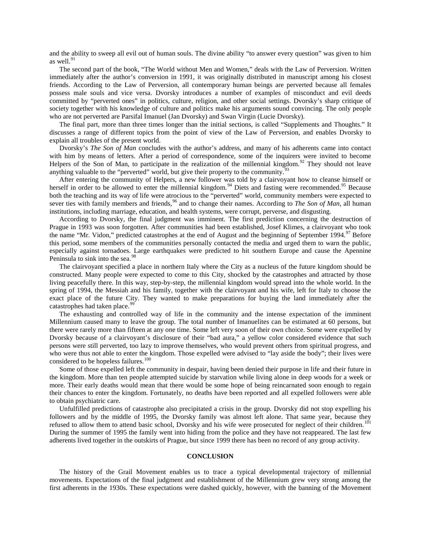and the ability to sweep all evil out of human souls. The divine ability "to answer every question" was given to him as well.<sup>[91](#page-10-25)</sup>

The second part of the book, "The World without Men and Women," deals with the Law of Perversion. Written immediately after the author's conversion in 1991, it was originally distributed in manuscript among his closest friends. According to the Law of Perversion, all contemporary human beings are perverted because all females possess male souls and vice versa. Dvorsky introduces a number of examples of misconduct and evil deeds committed by "perverted ones" in politics, culture, religion, and other social settings. Dvorsky's sharp critique of society together with his knowledge of culture and politics make his arguments sound convincing. The only people who are not perverted are Parsifal Imanuel (Jan Dvorsky) and Swan Virgin (Lucie Dvorsky).

The final part, more than three times longer than the initial sections, is called "Supplements and Thoughts." It discusses a range of different topics from the point of view of the Law of Perversion, and enables Dvorsky to explain all troubles of the present world.

Dvorsky's *The Son of Man* concludes with the author's address, and many of his adherents came into contact with him by means of letters. After a period of correspondence, some of the inquirers were invited to become Helpers of the Son of Man, to participate in the realization of the millennial kingdom.<sup>[92](#page-10-26)</sup> They should not leave anything valuable to the "perverted" world, but give their property to the community.<sup>9</sup>

After entering the community of Helpers, a new follower was told by a clairvoyant how to cleanse himself or herself in order to be allowed to enter the millennial kingdom.<sup>[94](#page-10-28)</sup> Diets and fasting were recommended.<sup>[95](#page-11-0)</sup> Because both the teaching and its way of life were atrocious to the "perverted" world, community members were expected to sever ties with family members and friends,<sup>[96](#page-11-1)</sup> and to change their names. According to *The Son of Man*, all human institutions, including marriage, education, and health systems, were corrupt, perverse, and disgusting.

According to Dvorsky, the final judgment was imminent. The first prediction concerning the destruction of Prague in 1993 was soon forgotten. After communities had been established, Josef Klimes, a clairvoyant who took the name "Mr. Vidon," predicted catastrophes at the end of August and the beginning of September 1994.<sup>[97](#page-11-2)</sup> Before this period, some members of the communities personally contacted the media and urged them to warn the public, especially against tornadoes. Large earthquakes were predicted to hit southern Europe and cause the Apennine Peninsula to sink into the sea.<sup>[98](#page-11-3)</sup>

The clairvoyant specified a place in northern Italy where the City as a nucleus of the future kingdom should be constructed. Many people were expected to come to this City, shocked by the catastrophes and attracted by those living peacefully there. In this way, step-by-step, the millennial kingdom would spread into the whole world. In the spring of 1994, the Messiah and his family, together with the clairvoyant and his wife, left for Italy to choose the exact place of the future City. They wanted to make preparations for buying the land immediately after the catastrophes had taken place.<sup>[99](#page-11-4)</sup>

The exhausting and controlled way of life in the community and the intense expectation of the imminent Millennium caused many to leave the group. The total number of Imanuelites can be estimated at 60 persons, but there were rarely more than fifteen at any one time. Some left very soon of their own choice. Some were expelled by Dvorsky because of a clairvoyant's disclosure of their "bad aura," a yellow color considered evidence that such persons were still perverted, too lazy to improve themselves, who would prevent others from spiritual progress, and who were thus not able to enter the kingdom. Those expelled were advised to "lay aside the body"; their lives were considered to be hopeless failures.<sup>[100](#page-11-5)</sup>

Some of those expelled left the community in despair, having been denied their purpose in life and their future in the kingdom. More than ten people attempted suicide by starvation while living alone in deep woods for a week or more. Their early deaths would mean that there would be some hope of being reincarnated soon enough to regain their chances to enter the kingdom. Fortunately, no deaths have been reported and all expelled followers were able to obtain psychiatric care.

Unfulfilled predictions of catastrophe also precipitated a crisis in the group. Dvorsky did not stop expelling his followers and by the middle of 1995, the Dvorsky family was almost left alone. That same year, because they refused to allow them to attend basic school, Dvorsky and his wife were prosecuted for neglect of their children.<sup>[101](#page-11-6)</sup> During the summer of 1995 the family went into hiding from the police and they have not reappeared. The last few adherents lived together in the outskirts of Prague, but since 1999 there has been no record of any group activity.

#### **CONCLUSION**

The history of the Grail Movement enables us to trace a typical developmental trajectory of millennial movements. Expectations of the final judgment and establishment of the Millennium grew very strong among the first adherents in the 1930s. These expectations were dashed quickly, however, with the banning of the Movement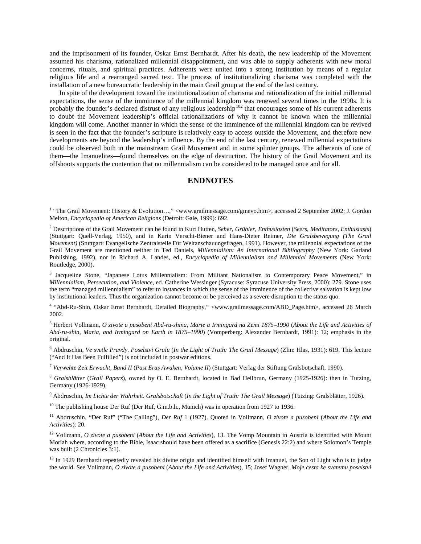and the imprisonment of its founder, Oskar Ernst Bernhardt. After his death, the new leadership of the Movement assumed his charisma, rationalized millennial disappointment, and was able to supply adherents with new moral concerns, rituals, and spiritual practices. Adherents were united into a strong institution by means of a regular religious life and a rearranged sacred text. The process of institutionalizing charisma was completed with the installation of a new bureaucratic leadership in the main Grail group at the end of the last century.

In spite of the development toward the institutionalization of charisma and rationalization of the initial millennial expectations, the sense of the imminence of the millennial kingdom was renewed several times in the 1990s. It is probably the founder's declared distrust of any religious leadership<sup>[102](#page-11-7)</sup> that encourages some of his current adherents to doubt the Movement leadership's official rationalizations of why it cannot be known when the millennial kingdom will come. Another manner in which the sense of the imminence of the millennial kingdom can be revived is seen in the fact that the founder's scripture is relatively easy to access outside the Movement, and therefore new developments are beyond the leadership's influence. By the end of the last century, renewed millennial expectations could be observed both in the mainstream Grail Movement and in some splinter groups. The adherents of one of them—the Imanuelites—found themselves on the edge of destruction. The history of the Grail Movement and its offshoots supports the contention that no millennialism can be considered to be managed once and for all.

### **ENDNOTES**

<span id="page-7-2"></span><sup>3</sup> Jacqueline Stone, "Japanese Lotus Millennialism: From Militant Nationalism to Contemporary Peace Movement," in *Millennialism, Persecution, and Violence,* ed. Catherine Wessinger (Syracuse: Syracuse University Press, 2000): 279. Stone uses the term "managed millennialism" to refer to instances in which the sense of the imminence of the collective salvation is kept low by institutional leaders. Thus the organization cannot become or be perceived as a severe disruption to the status quo.

<span id="page-7-3"></span><sup>4</sup> "Abd-Ru-Shin, Oskar Ernst Bernhardt, Detailed Biography," <www.grailmessage.com/ABD\_Page.htm>, accessed 26 March 2002.

<span id="page-7-4"></span><sup>5</sup> Herbert Vollmann, *O zivote a pusobeni Abd-ru-shina, Marie a Irmingard na Zemi 1875–1990* (*About the Life and Activities of Abd-ru-shin, Maria, and Irmingard on Earth in 1875–1990*) (Vomperberg: Alexander Bernhardt, 1991): 12; emphasis in the original.

<span id="page-7-5"></span><sup>6</sup> Abdruschin, *Ve svetle Pravdy. Poselstvi Gralu* (*In the Light of Truth: The Grail Message*) (Zlin: Hlas, 1931): 619. This lecture ("And It Has Been Fulfilled") is not included in postwar editions.

<span id="page-7-6"></span><sup>7</sup> *Verwehte Zeit Erwacht, Band II* (*Past Eras Awaken, Volume II*) (Stuttgart: Verlag der Stiftung Gralsbotschaft, 1990).

<span id="page-7-7"></span><sup>8</sup> *Gralsblätter* (*Grail Papers*), owned by O. E. Bernhardt, located in Bad Heilbrun, Germany (1925-1926): then in Tutzing, Germany (1926-1929).

<span id="page-7-8"></span><sup>9</sup> Abdruschin, *Im Lichte der Wahrheit. Gralsbotschaft* (*In the Light of Truth: The Grail Message*) (Tutzing: Gralsblätter, 1926).

<span id="page-7-9"></span><sup>10</sup> The publishing house Der Ruf (Der Ruf, G.m.b.h., Munich) was in operation from 1927 to 1936.

<span id="page-7-10"></span><sup>11</sup> Abdruschin, "Der Ruf" ("The Calling"), *Der Ruf* 1 (1927). Quoted in Vollmann, *O zivote a pusobeni* (*About the Life and Activities*): 20.

<span id="page-7-11"></span><sup>12</sup> Vollmann, *O zivote a pusobeni* (*About the Life and Activities*), 13. The Vomp Mountain in Austria is identified with Mount Moriah where, according to the Bible, Isaac should have been offered as a sacrifice (Genesis 22:2) and where Solomon's Temple was built (2 Chronicles 3:1).

<span id="page-7-12"></span> $<sup>13</sup>$  In 1929 Bernhardt repeatedly revealed his divine origin and identified himself with Imanuel, the Son of Light who is to judge</sup> the world. See Vollmann, *O zivote a pusobeni* (*About the Life and Activities*), 15; Josef Wagner, *Moje cesta ke svatemu poselstvi* 

<span id="page-7-0"></span><sup>&</sup>lt;sup>1</sup> "The Grail Movement: History & Evolution...," <www.grailmessage.com/gmevo.htm>, accessed 2 September 2002; J. Gordon Melton, *Encyclopedia of American Religions* (Detroit: Gale, 1999): 692.

<span id="page-7-1"></span><sup>2</sup> Descriptions of the Grail Movement can be found in Kurt Hutten, *Seher, Grübler, Enthusiasten* (*Seers, Meditators, Enthusiasts*) (Stuttgart: Quell-Verlag, 1950), and in Karin Verscht-Biener and Hans-Dieter Reimer, *Die Gralsbewegung (The Grail Movement)* (Stuttgart: Evangelische Zentralstelle Für Weltanschauungsfragen, 1991). However, the millennial expectations of the Grail Movement are mentioned neither in Ted Daniels, *Millennialism: An International Bibliography* (New York: Garland Publishing, 1992), nor in Richard A. Landes, ed., *Encyclopedia of Millennialism and Millennial Movements* (New York: Routledge, 2000).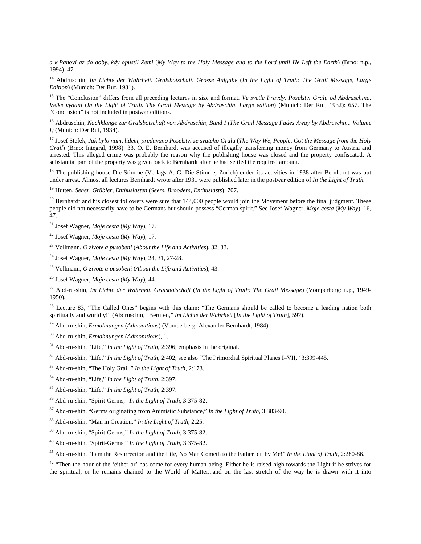*a k Panovi az do doby, kdy opustil Zemi* (*My Way to the Holy Message and to the Lord until He Left the Earth*) (Brno: n.p., 1994): 47.

<span id="page-8-0"></span><sup>14</sup> Abdruschin, *Im Lichte der Wahrheit. Gralsbotschaft. Grosse Aufgabe (In the Light of Truth: The Grail Message, Large Edition*) (Munich: Der Ruf, 1931).

<span id="page-8-1"></span><sup>15</sup> The "Conclusion" differs from all preceding lectures in size and format. *Ve svetle Pravdy. Poselstvi Gralu od Abdruschina*. *Velke vydani* (*In the Light of Truth. The Grail Message by Abdruschin. Large edition*) (Munich: Der Ruf, 1932): 657. The "Conclusion" is not included in postwar editions.

<span id="page-8-2"></span><sup>16</sup> Abdruschin, *Nachklänge zur Gralsbotschaft von Abdruschin, Band I (The Grail Message Fades Away by Abdruschin,. Volume I)* (Munich: Der Ruf, 1934).

<span id="page-8-3"></span><sup>17</sup> Josef Stefek, *Jak bylo nam, lidem, predavano Poselstvi ze svateho Gralu (The Way We, People, Got the Message from the Holy Grail*) (Brno: Integral, 1998): 33. O. E. Bernhardt was accused of illegally transferring money from Germany to Austria and arrested. This alleged crime was probably the reason why the publishing house was closed and the property confiscated. A substantial part of the property was given back to Bernhardt after he had settled the required amount.

<span id="page-8-4"></span><sup>18</sup> The publishing house Die Stimme (Verlags A. G. Die Stimme, Zürich) ended its activities in 1938 after Bernhardt was put under arrest. Almost all lectures Bernhardt wrote after 1931 were published later in the postwar edition of *In the Light of Truth.*

<span id="page-8-5"></span><sup>19</sup> Hutten, *Seher, Grübler, Enthusiasten* (*Seers, Brooders, Enthusiasts*): 707.

<span id="page-8-6"></span><sup>20</sup> Bernhardt and his closest followers were sure that 144,000 people would join the Movement before the final judgment. These people did not necessarily have to be Germans but should possess "German spirit." See Josef Wagner, *Moje cesta* (*My Way*), 16, 47.

<span id="page-8-7"></span><sup>21</sup> Josef Wagner, *Moje cesta* (*My Way*), 17.

<span id="page-8-8"></span><sup>22</sup> Josef Wagner, *Moje cesta* (*My Way*), 17.

<span id="page-8-9"></span><sup>23</sup> Vollmann, *O zivote a pusobeni* (*About the Life and Activities*), 32, 33.

<span id="page-8-10"></span><sup>24</sup> Josef Wagner, *Moje cesta* (*My Way*), 24, 31, 27-28.

<span id="page-8-11"></span><sup>25</sup> Vollmann, *O zivote a pusobeni* (*About the Life and Activities*), 43.

<span id="page-8-12"></span><sup>26</sup> Josef Wagner, *Moje cesta* (*My Way*), 44.

<span id="page-8-13"></span><sup>27</sup> Abd-ru-shin, *Im Lichte der Wahrheit. Gralsbotschaft* (*In the Light of Truth: The Grail Message*) (Vomperberg: n.p., 1949- 1950).

<span id="page-8-14"></span> $28$  Lecture 83, "The Called Ones" begins with this claim: "The Germans should be called to become a leading nation both spiritually and worldly!" (Abdruschin, "Berufen," *Im Lichte der Wahrheit* [*In the Light of Truth*], 597).

<span id="page-8-15"></span><sup>29</sup> Abd-ru-shin, *Ermahnungen* (*Admonitions*) (Vomperberg: Alexander Bernhardt, 1984).

<span id="page-8-16"></span><sup>30</sup> Abd-ru-shin, *Ermahnungen* (*Admonitions*), 1.

<span id="page-8-17"></span><sup>31</sup> Abd-ru-shin, "Life," *In the Light of Truth,* 2:396; emphasis in the original.

<span id="page-8-18"></span><sup>32</sup> Abd-ru-shin, "Life," *In the Light of Truth,* 2:402; see also "The Primordial Spiritual Planes I–VII," 3:399-445.

<span id="page-8-19"></span><sup>33</sup> Abd-ru-shin, "The Holy Grail," *In the Light of Truth*, 2:173.

<span id="page-8-20"></span><sup>34</sup> Abd-ru-shin, "Life," *In the Light of Truth,* 2:397.

<span id="page-8-21"></span><sup>35</sup> Abd-ru-shin, "Life," *In the Light of Truth,* 2:397.

<span id="page-8-22"></span><sup>36</sup> Abd-ru-shin, "Spirit-Germs," *In the Light of Truth,* 3:375-82.

<span id="page-8-23"></span><sup>37</sup> Abd-ru-shin, "Germs originating from Animistic Substance," *In the Light of Truth,* 3:383-90.

<span id="page-8-24"></span><sup>38</sup> Abd-ru-shin, "Man in Creation," *In the Light of Truth,* 2:25.

<span id="page-8-25"></span><sup>39</sup> Abd-ru-shin, "Spirit-Germs," *In the Light of Truth,* 3:375-82.

<span id="page-8-26"></span><sup>40</sup> Abd-ru-shin, "Spirit-Germs," *In the Light of Truth,* 3:375-82.

<span id="page-8-27"></span><sup>41</sup> Abd-ru-shin, "I am the Resurrection and the Life, No Man Cometh to the Father but by Me!" *In the Light of Truth,* 2:280-86.

<span id="page-8-28"></span> $42$  "Then the hour of the 'either-or' has come for every human being. Either he is raised high towards the Light if he strives for the spiritual, or he remains chained to the World of Matter...and on the last stretch of the way he is drawn with it into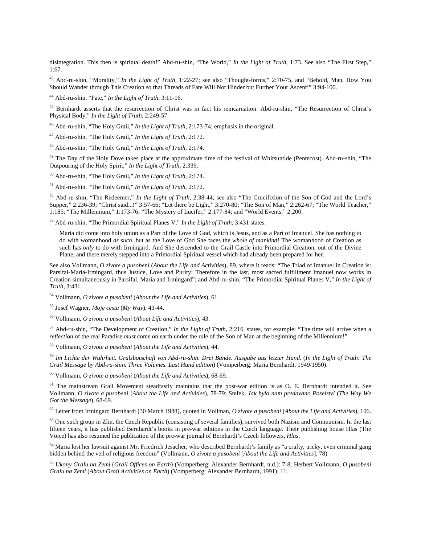disintegration. This then is spiritual death!" Abd-ru-shin, "The World," *In the Light of Truth*, 1:73. See also "The First Step," 1:67.

<span id="page-9-0"></span><sup>43</sup> Abd-ru-shin, "Morality," *In the Light of Truth,* 1:22-27; see also "Thought-forms," 2:70-75, and "Behold, Man, How You Should Wander through This Creation so that Threads of Fate Will Not Hinder but Further Your Ascent!" 3:94-100.

<span id="page-9-1"></span><sup>44</sup> Abd-ru-shin, "Fate," *In the Light of Truth,* 3:11-16.

<span id="page-9-2"></span><sup>45</sup> Bernhardt asserts that the resurrection of Christ was in fact his reincarnation. Abd-ru-shin, "The Resurrection of Christ's Physical Body," *In the Light of Truth*, 2:249-57.

<span id="page-9-3"></span><sup>46</sup> Abd-ru-shin, "The Holy Grail," *In the Light of Truth,* 2:173-74; emphasis in the original.

<span id="page-9-4"></span><sup>47</sup> Abd-ru-shin, "The Holy Grail," *In the Light of Truth,* 2:172.

<span id="page-9-5"></span><sup>48</sup> Abd-ru-shin, "The Holy Grail," *In the Light of Truth,* 2:174.

<span id="page-9-6"></span><sup>49</sup> The Day of the Holy Dove takes place at the approximate time of the festival of Whitsuntide (Pentecost). Abd-ru-shin, "The Outpouring of the Holy Spirit," *In the Light of Truth,* 2:339.

<span id="page-9-7"></span><sup>50</sup> Abd-ru-shin, "The Holy Grail," *In the Light of Truth,* 2:174.

<span id="page-9-8"></span><sup>51</sup> Abd-ru-shin, "The Holy Grail," *In the Light of Truth,* 2:172.

<span id="page-9-9"></span><sup>52</sup> Abd-ru-shin, "The Redeemer," *In the Light of Truth*, 2:38-44; see also "The Crucifixion of the Son of God and the Lord's Supper," 2:236-39; "Christ said...!" 3:57-66; "Let there be Light," 3:270-80; "The Son of Man," 2:262-67; "The World Teacher," 1:185; "The Millennium," 1:173-76; "The Mystery of Lucifer," 2:177-84; and "World Events," 2:200.

<span id="page-9-10"></span><sup>53</sup> Abd-ru-shin, "The Primordial Spiritual Planes V," *In the Light of Truth,* 3:431 states:

Maria did come into holy union as a Part of the Love of God, which is Jesus, and as a Part of Imanuel. She has nothing to do with womanhood *as such*, but as the Love of God She faces the *whole of mankind*! The womanhood of Creation as such has *only* to do with Irmingard. And She descended to the Grail Castle into Primordial Creation, out of the Divine Plane, and there merely stepped into a Primordial Spiritual vessel which had already been prepared for her.

See also Vollmann, *O zivote a pusobeni* (*About the Life and Activities*), 89, where it reads: "The Triad of Imanuel in Creation is: Parsifal-Maria-Irmingard, thus Justice, Love and Purity! Therefore in the last, most sacred fulfillment Imanuel now works in Creation simultaneously in Parsifal, Maria and Irmingard"; and Abd-ru-shin, "The Primordial Spiritual Planes V," *In the Light of Truth,* 3:431.

<span id="page-9-11"></span><sup>54</sup> Vollmann, *O zivote a pusobeni* (*About the Life and Activities*), 61.

<span id="page-9-12"></span><sup>55</sup> Josef Wagner, *Moje cesta* (*My Way*), 43-44.

<span id="page-9-13"></span><sup>56</sup> Vollmann, *O zivote a pusobeni* (*About Life and Activities*), 43.

<span id="page-9-14"></span><sup>57</sup> Abd-ru-shin, "The Development of Creation," *In the Light of Truth,* 2:216, states, for example: "The time will arrive when a *reflection* of the real Paradise *must* come on earth under the rule of the Son of Man at the beginning of the Millennium!"

<span id="page-9-15"></span><sup>58</sup> Vollmann, *O zivote a pusobeni* (*About the Life and Activities*), 44.

<span id="page-9-16"></span><sup>59</sup> Im Lichte der Wahrheit. Gralsbotschaft von Abd-ru-shin. Drei Bände. Ausgabe aus letzter Hand. (In the Light of Truth: The *Grail Message by Abd-ru-shin. Three Volumes. Last Hand edition*) (Vomperberg: Maria Bernhardt, 1949/1950).

<span id="page-9-17"></span><sup>60</sup> Vollmann, *O zivote a pusobeni* (*About the Life and Activities*), 68-69.

<span id="page-9-18"></span><sup>61</sup> The mainstream Grail Movement steadfastly maintains that the post-war edition is as O. E. Bernhardt intended it. See Vollmann, *O zivote a pusobeni* (*About the Life and Activities*)*,* 78-79; Stefek, *Jak bylo nam predavano Poselstvi* (*The Way We Got the Message*)*,* 68-69.

<span id="page-9-19"></span><sup>62</sup> Letter from Irmingard Bernhardt (30 March 1988), quoted in Vollman, *O zivote a pusobeni* (*About the Life and Activities*), 106.

<span id="page-9-20"></span><sup>63</sup> One such group in Zlin, the Czech Republic (consisting of several families), survived both Nazism and Communism. In the last fifteen years, it has published Bernhardt's books in pre-war editions in the Czech language. Their publishing house Hlas (The Voice) has also resumed the publication of the pre-war journal of Bernhardt's Czech followers, *Hlas*.

<span id="page-9-21"></span><sup>64</sup> Maria lost her lawsuit against Mr. Friedrich Jesacher, who described Bernhardt's family as "a crafty, tricky, even criminal gang hidden behind the veil of religious freedom" (Vollmann, *O zivote a pusobeni* [*About the Life and Activities*], 78)

<span id="page-9-22"></span><sup>65</sup> *Ukony Gralu na Zemi* (*Grail Offices on Earth*) (Vomperberg: Alexander Bernhardt, n.d.): 7-8; Herbert Vollmann, *O pusobeni Gralu na Zemi* (*About Grail Activities on Earth*) (Vomperberg: Alexander Bernhardt, 1991): 11.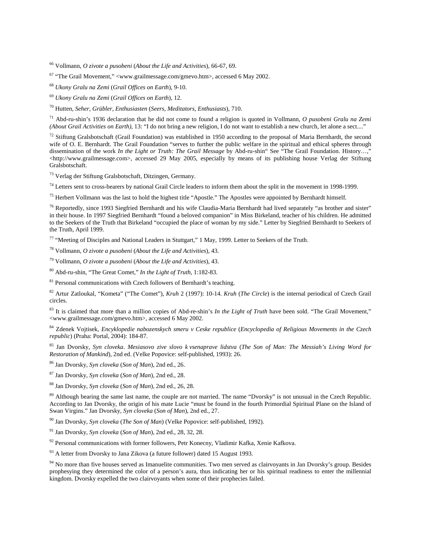<span id="page-10-0"></span><sup>66</sup> Vollmann, *O zivote a pusobeni* (*About the Life and Activities*), 66-67, 69.

<span id="page-10-1"></span> $67$  "The Grail Movement," <www.grailmessage.com/gmevo.htm>, accessed 6 May 2002.

<span id="page-10-2"></span><sup>68</sup> *Ukony Gralu na Zemi* (*Grail Offices on Earth*), 9-10.

<span id="page-10-3"></span><sup>69</sup> *Ukony Gralu na Zemi* (*Grail Offices on Earth*), 12.

<span id="page-10-4"></span><sup>70</sup> Hutten, *Seher, Grübler, Enthusiasten* (*Seers, Meditators, Enthusiasts*), 710.

<span id="page-10-5"></span><sup>71</sup> Abd-ru-shin's 1936 declaration that he did not come to found a religion is quoted in Vollmann, *O pusobeni Gralu na Zemi (About Grail Activities on Earth)*, 13: "I do not bring a new religion, I do not want to establish a new church, let alone a sect...."

<span id="page-10-6"></span> $72$  Stiftung Gralsbotschaft (Grail Foundation) was established in 1950 according to the proposal of Maria Bernhardt, the second wife of O. E. Bernhardt. The Grail Foundation "serves to further the public welfare in the spiritual and ethical spheres through dissemination of the work *[In the Light or Truth: The Grail Message](http://www.grailmessage.com/ILT_Page.htm)* by [Abd-ru-shin"](http://www.grailmessage.com/ABD_Page.htm) See "The Grail Foundation. History…," <http://www.grailmessage.com>, accessed 29 May 2005, especially by means of its publishing house Verlag der Stiftung Gralsbotschaft.

<span id="page-10-7"></span><sup>73</sup> Verlag der Stiftung Gralsbotschaft, Ditzingen, Germany.

<span id="page-10-8"></span><sup>74</sup> Letters sent to cross-bearers by national Grail Circle leaders to inform them about the split in the movement in 1998-1999.

<span id="page-10-9"></span> $<sup>75</sup>$  Herbert Vollmann was the last to hold the highest title "Apostle." The Apostles were appointed by Bernhardt himself.</sup>

<span id="page-10-10"></span><sup>76</sup> Reportedly, since 1993 Siegfried Bernhardt and his wife Claudia-Maria Bernhardt had lived separately "as brother and sister" in their house. In 1997 Siegfried Bernhardt "found a beloved companion" in Miss Birkeland, teacher of his children. He admitted to the Seekers of the Truth that Birkeland "occupied the place of woman by my side." Letter by Siegfried Bernhardt to Seekers of the Truth, April 1999.

<span id="page-10-11"></span><sup>77</sup> "Meeting of Disciples and National Leaders in Stuttgart," 1 May, 1999. Letter to Seekers of the Truth.

<span id="page-10-12"></span><sup>78</sup> Vollmann, *O zivote a pusobeni* (*About the Life and Activities*), 43.

<span id="page-10-13"></span><sup>79</sup> Vollmann, *O zivote a pusobeni* (*About the Life and Activities*), 43.

<span id="page-10-14"></span><sup>80</sup> Abd-ru-shin, "The Great Comet," *In the Light of Truth,* 1:182-83.

<span id="page-10-15"></span> $81$  Personal communications with Czech followers of Bernhardt's teaching.

<span id="page-10-16"></span><sup>82</sup> Artur Zatloukal, "Kometa" ("The Comet"), *Kruh* 2 (1997): 10-14. *Kruh* (*The Circle*) is the internal periodical of Czech Grail circles.

<span id="page-10-17"></span><sup>83</sup> It is claimed that more than a million copies of Abd-re-shin's *In the Light of Truth* have been sold. "The Grail Movement," <www.grailmessage.com/gmevo.htm>, accessed 6 May 2002.

<span id="page-10-18"></span><sup>84</sup> Zdenek Vojtisek, *Encyklopedie nabozenskych smeru v Ceske republice* (*Encyclopedia of Religious Movements in the Czech republic*) (Praha: Portal, 2004): 184-87.

<span id="page-10-19"></span><sup>85</sup> Jan Dvorsky, *Syn cloveka*. *Mesiasovo zive slovo k vsenaprave lidstva* (*The Son of Man: The Messiah's Living Word for Restoration of Mankind*), 2nd ed. (Velke Popovice: self-published, 1993): 26.

<span id="page-10-20"></span><sup>86</sup> Jan Dvorsky, *Syn cloveka* (*Son of Man*), 2nd ed., 26.

<span id="page-10-21"></span><sup>87</sup> Jan Dvorsky, *Syn cloveka* (*Son of Man*), 2nd ed., 28.

<span id="page-10-22"></span><sup>88</sup> Jan Dvorsky, *Syn cloveka* (*Son of Man*)*,* 2nd ed., 26, 28.

<span id="page-10-23"></span><sup>89</sup> Although bearing the same last name, the couple are not married. The name "Dvorsky" is not unusual in the Czech Republic. According to Jan Dvorsky, the origin of his mate Lucie "must be found in the fourth Primordial Spiritual Plane on the Island of Swan Virgins." Jan Dvorsky, *Syn cloveka* (*Son of Man*), 2nd ed., 27.

<span id="page-10-24"></span><sup>90</sup> Jan Dvorsky, *Syn cloveka* (*The Son of Man*) (Velke Popovice: self-published, 1992).

<span id="page-10-25"></span><sup>91</sup> Jan Dvorsky, *Syn cloveka* (*Son of Man*), 2nd ed., 28, 32, 28.

<span id="page-10-26"></span><sup>92</sup> Personal communications with former followers, Petr Konecny, Vladimir Kafka, Xenie Kafkova.

<span id="page-10-27"></span><sup>93</sup> A letter from Dvorsky to Jana Zikova (a future follower) dated 15 August 1993.

<span id="page-10-28"></span> $94$  No more than five houses served as Imanuelite communities. Two men served as clairvoyants in Jan Dvorsky's group. Besides prophesying they determined the color of a person's aura, thus indicating her or his spiritual readiness to enter the millennial kingdom. Dvorsky expelled the two clairvoyants when some of their prophecies failed.